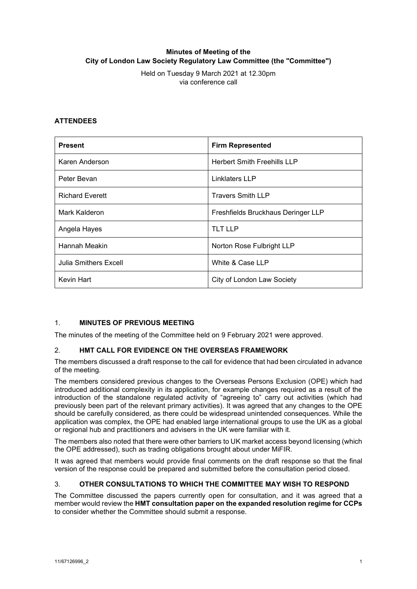# **Minutes of Meeting of the City of London Law Society Regulatory Law Committee (the "Committee")**

Held on Tuesday 9 March 2021 at 12.30pm via conference call

### **ATTENDEES**

| <b>Present</b>         | <b>Firm Represented</b>            |
|------------------------|------------------------------------|
| Karen Anderson         | <b>Herbert Smith Freehills LLP</b> |
| Peter Bevan            | Linklaters LLP                     |
| <b>Richard Everett</b> | <b>Travers Smith LLP</b>           |
| Mark Kalderon          | Freshfields Bruckhaus Deringer LLP |
| Angela Hayes           | <b>TLT LLP</b>                     |
| Hannah Meakin          | Norton Rose Fulbright LLP          |
| Julia Smithers Excell  | White & Case LLP                   |
| Kevin Hart             | City of London Law Society         |

# 1. **MINUTES OF PREVIOUS MEETING**

The minutes of the meeting of the Committee held on 9 February 2021 were approved.

#### 2. **HMT CALL FOR EVIDENCE ON THE OVERSEAS FRAMEWORK**

The members discussed a draft response to the call for evidence that had been circulated in advance of the meeting.

The members considered previous changes to the Overseas Persons Exclusion (OPE) which had introduced additional complexity in its application, for example changes required as a result of the introduction of the standalone regulated activity of "agreeing to" carry out activities (which had previously been part of the relevant primary activities). It was agreed that any changes to the OPE should be carefully considered, as there could be widespread unintended consequences. While the application was complex, the OPE had enabled large international groups to use the UK as a global or regional hub and practitioners and advisers in the UK were familiar with it.

The members also noted that there were other barriers to UK market access beyond licensing (which the OPE addressed), such as trading obligations brought about under MiFIR.

It was agreed that members would provide final comments on the draft response so that the final version of the response could be prepared and submitted before the consultation period closed.

#### 3. **OTHER CONSULTATIONS TO WHICH THE COMMITTEE MAY WISH TO RESPOND**

The Committee discussed the papers currently open for consultation, and it was agreed that a member would review the **HMT consultation paper on the expanded resolution regime for CCPs** to consider whether the Committee should submit a response.